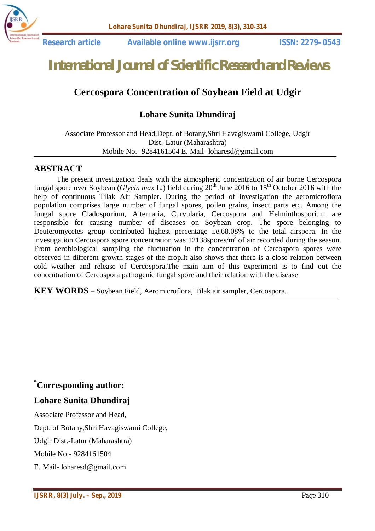

 **Research article Available online www.ijsrr.org ISSN: 2279–0543**

# *International Journal of Scientific Research and Reviews*

# **Cercospora Concentration of Soybean Field at Udgir**

# **Lohare Sunita Dhundiraj**

Associate Professor and Head,Dept. of Botany,Shri Havagiswami College, Udgir Dist.-Latur (Maharashtra) Mobile No.- 9284161504 E. Mail- loharesd@gmail.com

#### **ABSTRACT**

The present investigation deals with the atmospheric concentration of air borne Cercospora fungal spore over Soybean (*Glycin max* L.) field during  $20^{th}$  June 2016 to 15<sup>th</sup> October 2016 with the help of continuous Tilak Air Sampler. During the period of investigation the aeromicroflora population comprises large number of fungal spores, pollen grains, insect parts etc. Among the fungal spore Cladosporium, Alternaria, Curvularia, Cercospora and Helminthosporium are responsible for causing number of diseases on Soybean crop. The spore belonging to Deuteromycetes group contributed highest percentage i.e.68.08% to the total airspora. In the investigation Cercospora spore concentration was  $12138$ spores/ $m<sup>3</sup>$  of air recorded during the season. From aerobiological sampling the fluctuation in the concentration of Cercospora spores were observed in different growth stages of the crop.It also shows that there is a close relation between cold weather and release of Cercospora.The main aim of this experiment is to find out the concentration of Cercospora pathogenic fungal spore and their relation with the disease

**KEY WORDS** – Soybean Field, Aeromicroflora, Tilak air sampler, Cercospora.

# **\*Corresponding author:**

#### **Lohare Sunita Dhundiraj**

Associate Professor and Head, Dept. of Botany,Shri Havagiswami College, Udgir Dist.-Latur (Maharashtra)

Mobile No.- 9284161504

E. Mail- loharesd@gmail.com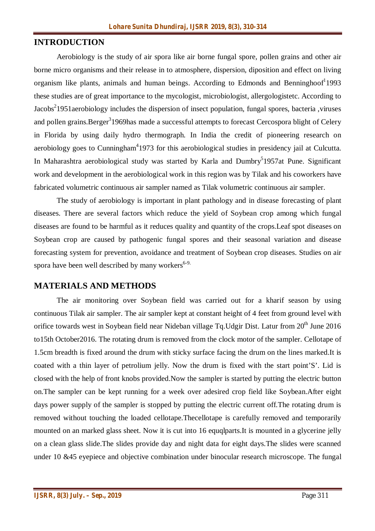# **INTRODUCTION**

Aerobiology is the study of air spora like air borne fungal spore, pollen grains and other air borne micro organisms and their release in to atmosphere, dispersion, diposition and effect on living organism like plants, animals and human beings. According to Edmonds and Benninghoof<sup>1</sup>1993 these studies are of great importance to the mycologist, microbiologist, allergologistetc. According to Jacobs<sup>2</sup>1951aerobiology includes the dispersion of insect population, fungal spores, bacteria ,viruses and pollen grains.Berger<sup>3</sup>1969has made a successful attempts to forecast Cercospora blight of Celery in Florida by using daily hydro thermograph. In India the credit of pioneering research on aerobiology goes to Cunningham<sup>4</sup>1973 for this aerobiological studies in presidency jail at Culcutta. In Maharashtra aerobiological study was started by Karla and Dumbry<sup>5</sup>1957at Pune. Significant work and development in the aerobiological work in this region was by Tilak and his coworkers have fabricated volumetric continuous air sampler named as Tilak volumetric continuous air sampler.

The study of aerobiology is important in plant pathology and in disease forecasting of plant diseases. There are several factors which reduce the yield of Soybean crop among which fungal diseases are found to be harmful as it reduces quality and quantity of the crops.Leaf spot diseases on Soybean crop are caused by pathogenic fungal spores and their seasonal variation and disease forecasting system for prevention, avoidance and treatment of Soybean crop diseases. Studies on air spora have been well described by many workers $6-9$ .

## **MATERIALS AND METHODS**

The air monitoring over Soybean field was carried out for a kharif season by using continuous Tilak air sampler. The air sampler kept at constant height of 4 feet from ground level with orifice towards west in Soybean field near Nideban village Tq.Udgir Dist. Latur from 20<sup>th</sup> June 2016 to15th October2016. The rotating drum is removed from the clock motor of the sampler. Cellotape of 1.5cm breadth is fixed around the drum with sticky surface facing the drum on the lines marked.It is coated with a thin layer of petrolium jelly. Now the drum is fixed with the start point'S'. Lid is closed with the help of front knobs provided.Now the sampler is started by putting the electric button on.The sampler can be kept running for a week over adesired crop field like Soybean.After eight days power supply of the sampler is stopped by putting the electric current off.The rotating drum is removed without touching the loaded cellotape.Thecellotape is carefully removed and temporarily mounted on an marked glass sheet. Now it is cut into 16 equqlparts.It is mounted in a glycerine jelly on a clean glass slide.The slides provide day and night data for eight days.The slides were scanned under 10 &45 eyepiece and objective combination under binocular research microscope. The fungal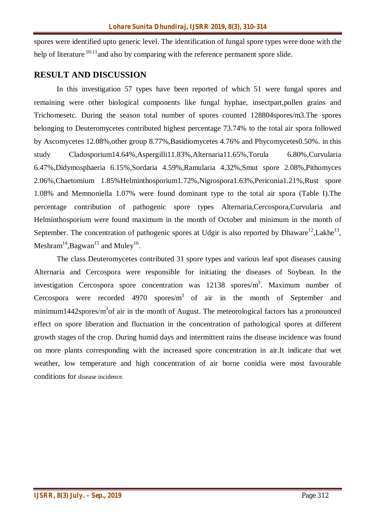spores were identified upto generic level. The identification of fungal spore types were done with the help of literature  $10^{-11}$  and also by comparing with the reference permanent spore slide.

## **RESULT AND DISCUSSION**

In this investigation 57 types have been reported of which 51 were fungal spores and remaining were other biological components like fungal hyphae, insectpart,pollen grains and Trichomesetc. During the season total number of spores counted 128804spores/m3.The spores belonging to Deuteromycetes contributed highest percentage 73.74% to the total air spora followed by Ascomycetes 12.08%,other group 8.77%,Basidiomycetes 4.76% and Phycomycetes0.50%. in this study Cladosporium14.64%,Aspergilli11.83%,Alternaria11.65%,Torula 6.80%,Curvularia 6.47%,Didymosphaeria 6.15%,Sordaria 4.59%,Ramularia 4.32%,Smut spore 2.08%,Pithomyces 2.06%,Chaetomium 1.85%Helminthosporium1.72%,Nigrospora1.63%,Periconia1.21%,Rust spore 1.08% and Memnoniella 1.07% were found dominant type to the total air spora (Table I).The percentage contribution of pathogenic spore types Alternaria,Cercospora,Curvularia and Helminthosporium were found maximum in the month of October and minimum in the month of September. The concentration of pathogenic spores at Udgir is also reported by Dhaware<sup>12</sup>, Lakhe<sup>13</sup>, Meshram $^{14}$ ,Bagwan $^{15}$  and Muley $^{16}$ .

The class Deuteromycetes contributed 31 spore types and various leaf spot diseases causing Alternaria and Cercospora were responsible for initiating the diseases of Soybean. In the investigation Cercospora spore concentration was 12138 spores/m<sup>3</sup>. Maximum number of Cercospora were recorded 4970 spores/ $m<sup>3</sup>$  of air in the month of September and minimum1442spores/ $m<sup>3</sup>$ of air in the month of August. The meteorological factors has a pronounced effect on spore liberation and fluctuation in the concentration of pathological spores at different growth stages of the crop. During humid days and intermittent rains the disease incidence was found on more plants corresponding with the increased spore concentration in air.It indicate that wet weather, low temperature and high concentration of air borne conidia were most favourable conditions for disease incidence.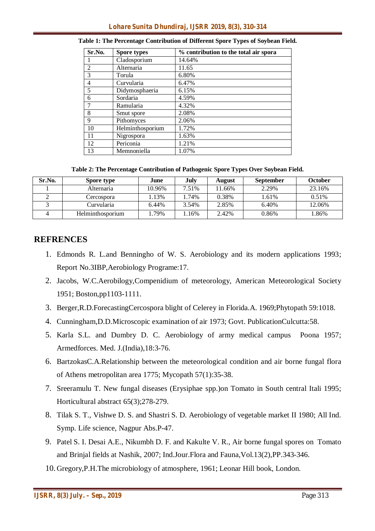| Sr.No.         | <b>Spore types</b> | % contribution to the total air spora |
|----------------|--------------------|---------------------------------------|
|                | Cladosporium       | 14.64%                                |
| 2              | Alternaria         | 11.65                                 |
| 3              | Torula             | 6.80%                                 |
| $\overline{4}$ | Curvularia         | 6.47%                                 |
| 5              | Didymosphaeria     | 6.15%                                 |
| 6              | Sordaria           | 4.59%                                 |
|                | Ramularia          | 4.32%                                 |
| 8              | Smut spore         | 2.08%                                 |
| 9              | Pithomyces         | 2.06%                                 |
| 10             | Helminthosporium   | 1.72%                                 |
| 11             | Nigrospora         | 1.63%                                 |
| 12             | Periconia          | 1.21%                                 |
| 13             | Memnoniella        | 1.07%                                 |

| Table 1: The Percentage Contribution of Different Spore Types of Soybean Field. |  |  |  |  |
|---------------------------------------------------------------------------------|--|--|--|--|
|---------------------------------------------------------------------------------|--|--|--|--|

**Table 2: The Percentage Contribution of Pathogenic Spore Types Over Soybean Field.**

| Sr.No. | Spore type       | June   | July  | August | <b>September</b> | October  |
|--------|------------------|--------|-------|--------|------------------|----------|
|        | Alternaria       | 10.96% | 7.51% | 1.66%  | 2.29%            | 23.16%   |
|        | Cercospora       | 13%    | .74%  | 0.38%  | 1.61%            | $0.51\%$ |
|        | Curvularia       | 6.44%  | 3.54% | 2.85%  | 6.40%            | 12.06%   |
|        | Helminthosporium | 79%    | .16%  | 2.42%  | 0.86%            | .86%     |

#### **REFRENCES**

- 1. Edmonds R. L.and Benningho of W. S. Aerobiology and its modern applications 1993; Report No.3IBP,Aerobiology Programe:17.
- 2. Jacobs, W.C.Aerobilogy,Compenidium of meteorology, American Meteorological Society 1951; Boston,pp1103-1111.
- 3. Berger,R.D.ForecastingCercospora blight of Celerey in Florida.A. 1969;Phytopath 59:1018.
- 4. Cunningham,D.D.Microscopic examination of air 1973; Govt. PublicationCulcutta:58.
- 5. Karla S.L. and Dumbry D. C. Aerobiology of army medical campus Poona 1957; Armedforces. Med. J.(India),18:3-76.
- 6. BartzokasC.A.Relationship between the meteorological condition and air borne fungal flora of Athens metropolitan area 1775; Mycopath 57(1):35-38.
- 7. Sreeramulu T. New fungal diseases (Erysiphae spp.)on Tomato in South central Itali 1995; Horticultural abstract 65(3);278-279.
- 8. Tilak S. T., Vishwe D. S. and Shastri S. D. Aerobiology of vegetable market II 1980; All Ind. Symp. Life science, Nagpur Abs.P-47.
- 9. Patel S. I. Desai A.E., Nikumbh D. F. and Kakulte V. R., Air borne fungal spores on Tomato and Brinjal fields at Nashik, 2007; Ind.Jour.Flora and Fauna,Vol.13(2),PP.343-346.
- 10. Gregory,P.H.The microbiology of atmosphere, 1961; Leonar Hill book, London.